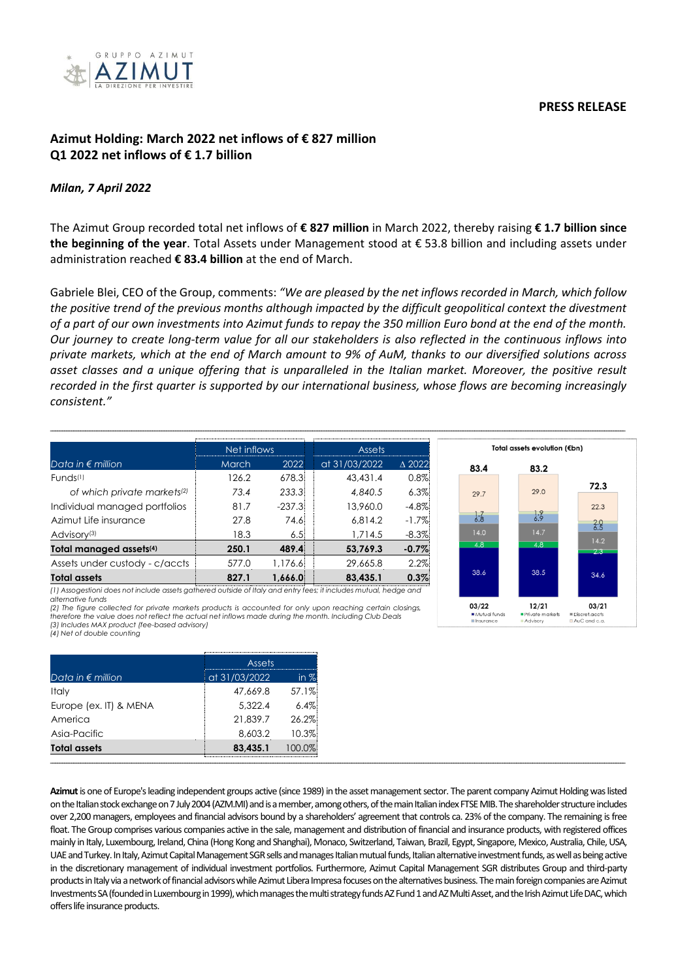## **PRESS RELEASE**



# **Azimut Holding: March 2022 net inflows of € 827 million Q1 2022 net inflows of € 1.7 billion**

## *Milan, 7 April 2022*

The Azimut Group recorded total net inflows of **€ 827 million** in March 2022, thereby raising **€ 1.7 billion since the beginning of the year**. Total Assets under Management stood at € 53.8 billion and including assets under administration reached **€ 83.4 billion** at the end of March.

Gabriele Blei, CEO of the Group, comments: *"We are pleased by the net inflows recorded in March, which follow the positive trend of the previous months although impacted by the difficult geopolitical context the divestment of a part of our own investments into Azimut funds to repay the 350 million Euro bond at the end of the month. Our journey to create long-term value for all our stakeholders is also reflected in the continuous inflows into private markets, which at the end of March amount to 9% of AuM, thanks to our diversified solutions across asset classes and a unique offering that is unparalleled in the Italian market. Moreover, the positive result recorded in the first quarter is supported by our international business, whose flows are becoming increasingly consistent."* 

**\_\_\_\_\_\_\_\_\_\_\_\_\_\_\_\_\_\_\_\_\_\_\_\_\_\_\_\_\_\_\_\_\_\_\_\_\_\_\_\_\_\_\_\_\_\_\_\_\_\_\_\_\_\_\_\_\_\_\_\_\_\_\_\_\_\_\_\_\_\_\_\_\_\_\_\_\_\_\_\_\_\_\_\_\_\_\_\_\_\_\_\_\_\_\_\_\_\_\_\_\_\_\_\_\_\_\_\_\_\_\_\_\_\_\_\_\_\_\_\_\_\_\_\_\_\_\_\_\_\_\_\_\_\_\_\_\_\_\_\_\_\_\_\_\_\_\_\_\_\_\_\_\_\_\_\_\_\_\_\_\_\_\_\_\_\_\_\_\_\_\_\_\_\_\_\_\_\_\_\_\_\_\_\_\_\_\_\_\_\_\_\_\_\_\_\_\_\_\_\_\_\_\_\_\_\_\_\_\_\_\_\_\_\_\_\_\_\_\_\_\_\_\_\_\_\_\_\_\_\_\_\_\_\_\_\_\_\_\_\_\_\_\_\_\_\_\_\_**

|                                         | Net inflows  |          | <b>Assets</b> |                  |
|-----------------------------------------|--------------|----------|---------------|------------------|
| Data in $\epsilon$ million              | <b>March</b> | 2022     | at 31/03/2022 | $\triangle$ 2022 |
| Funds <sup>(1)</sup>                    | 126.2        | 678.3    | 43,431.4      | 0.8%             |
| of which private markets <sup>(2)</sup> | 73.4         | 233.3    | 4.840.5       | 6.3%             |
| Individual managed portfolios           | 81.7         | $-237.3$ | 13,960.0      | $-4.8%$          |
| Azimut Life insurance                   | 27.8         | 74.6     | 6.814.2       | $-1.7\%$         |
| Advisory <sup>(3)</sup>                 | 18.3         | 6.5      | 1,714.5       | $-8.3%$          |
| Total managed assets <sup>(4)</sup>     | 250.1        | 489.4    | 53,769.3      | $-0.7%$          |
| Assets under custody - c/accts          | 577.0        | 1,176.6  | 29,665.8      | 2.2%             |
| <b>Total assets</b>                     | 827.1        | 1.666.0  | 83.435.1      | 0.3%             |
|                                         |              |          |               |                  |



*(1) Assogestioni does not include assets gathered outside of Italy and entry fees; it includes mutual, hedge and alternative funds (2) The figure collected for private markets products is accounted for only upon reaching certain closings,* 

*therefore the value does not reflect the actual net inflows made during the month. Including Club Deals (3) Includes MAX product (fee-based advisory) (4) Net of double counting*

|                            | <b>Assets</b> |        |
|----------------------------|---------------|--------|
| Data in $\epsilon$ million | at 31/03/2022 | in $%$ |
| Italy                      | 47,669.8      | 57.1%  |
| Europe (ex. IT) & MENA     | 5,322.4       | 6.4%   |
| America                    | 21,839.7      | 26.2%  |
| Asia-Pacific               | 8,603.2       | 10.3%  |
| <b>Total assets</b>        | 83,435.1      | 100.0% |
|                            |               |        |

**Azimut**is one of Europe's leading independent groups active (since 1989) in the asset management sector. The parent company Azimut Holding was listed on the Italian stock exchange on 7 July 2004 (AZM.MI) andis a member, among others, of the main Italian index FTSE MIB. The shareholder structure includes over 2,200 managers, employees and financial advisors bound by a shareholders' agreement that controls ca. 23% of the company. The remaining is free float. The Group comprises various companies active in the sale, management and distribution of financial and insurance products, with registered offices mainly in Italy, Luxembourg, Ireland, China (Hong Kong and Shanghai), Monaco, Switzerland, Taiwan, Brazil, Egypt, Singapore, Mexico, Australia, Chile, USA, UAE and Turkey. In Italy, Azimut Capital Management SGR sells and manages Italian mutual funds, Italian alternative investment funds, as well as being active in the discretionary management of individual investment portfolios. Furthermore, Azimut Capital Management SGR distributes Group and third-party products in Italy via a network of financial advisors while Azimut Libera Impresa focuses on the alternatives business. The main foreign companies are Azimut Investments SA (founded in Luxembourg in 1999), which manages the multi strategy funds AZ Fund 1 and AZ Multi Asset, and the Irish Azimut Life DAC, which offers life insurance products.